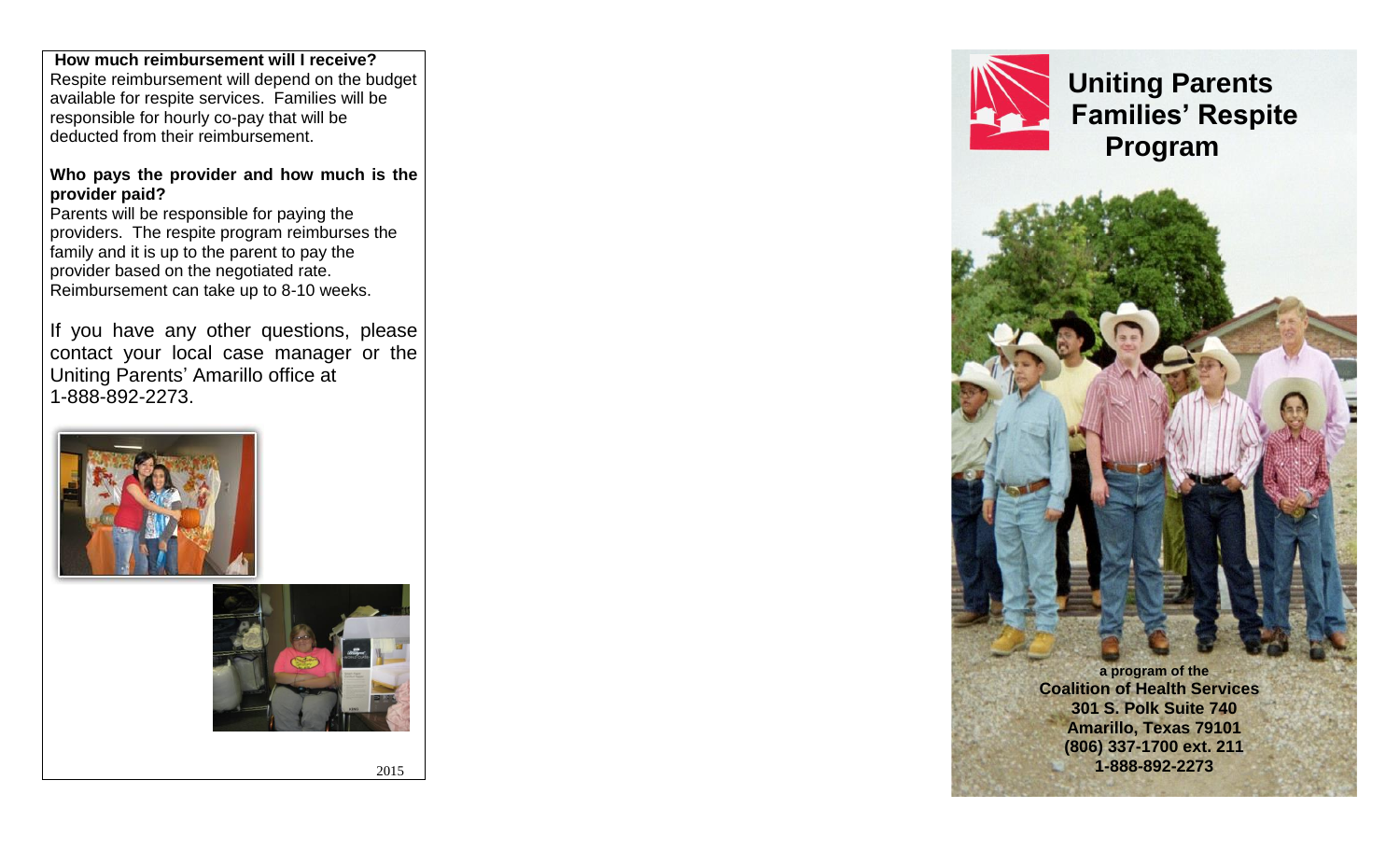**How much reimbursement will I receive?** Respite reimbursement will depend on the budget available for respite services. Families will be responsible for hourly co-pay that will be deducted from their reimbursement.

#### **Who pays the provider and how much is the provider paid?**

Parents will be responsible for paying the providers. The respite program reimburses the family and it is up to the parent to pay the provider based on the negotiated rate. Reimbursement can take up to 8-10 weeks.

If you have any other questions, please contact your local case manager or the Uniting Parents' Amarillo office at 1-888-892-2273.





2015



 **Uniting Parents Families' Respite Program**



**(806) 337-1700 ext. 211 1-888-892-2273**